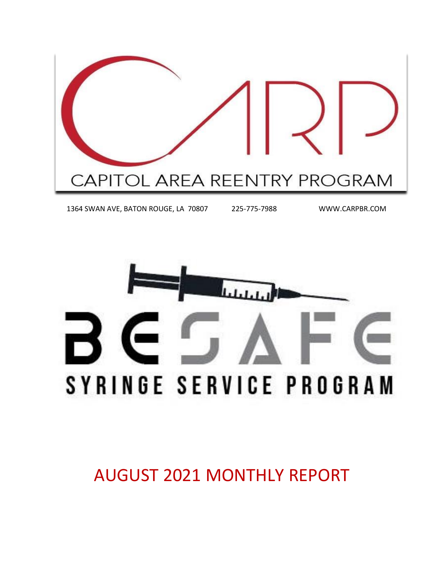

1364 SWAN AVE, BATON ROUGE, LA 70807 225-775-7988 WWW.CARPBR.COM



AUGUST 2021 MONTHLY REPORT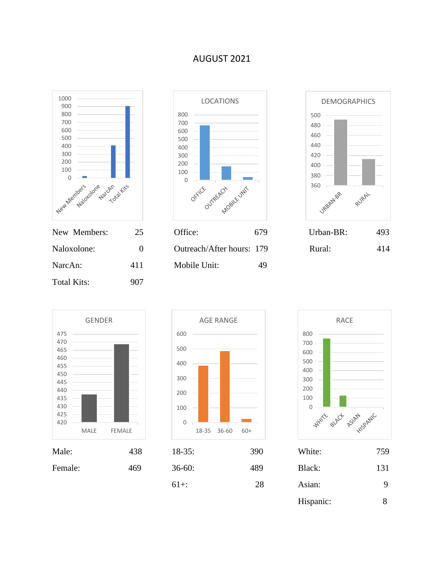### AUGUST 2021







Naloxolone: 0 0 Outreach/After hours: 179 Rural: 414 NarcAn: 411 Mobile Unit: 49









| $18-35$ : | 390 | White:    | 759 |
|-----------|-----|-----------|-----|
| $36-60:$  | 489 | Black:    | 131 |
| $61+$ :   | 28  | Asian:    | 9   |
|           |     | Hispanic: |     |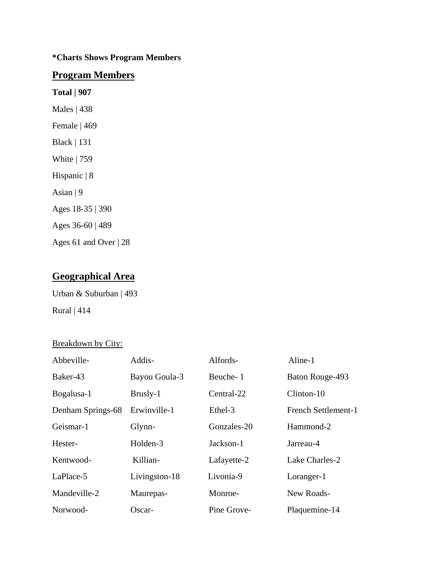### **\*Charts Shows Program Members**

### **Program Members**

**Total | 907**

Males | 438

Female | 469

Black | 131

White | 759

Hispanic | 8

Asian | 9

Ages 18-35 | 390

Ages 36-60 | 489

Ages 61 and Over | 28

### **Geographical Area**

Urban & Suburban | 493 Rural | 414

### Breakdown by City:

| Abbeville-        | Addis-        | Alfords-    | Aline-1                    |
|-------------------|---------------|-------------|----------------------------|
| Baker-43          | Bayou Goula-3 | Beuche-1    | Baton Rouge-493            |
| Bogalusa-1        | Brusly-1      | Central-22  | Clinton-10                 |
| Denham Springs-68 | Erwinville-1  | Ethel-3     | <b>French Settlement-1</b> |
| Geismar-1         | Glynn-        | Gonzales-20 | Hammond-2                  |
| Hester-           | Holden-3      | Jackson-1   | Jarreau-4                  |
| Kentwood-         | Killian-      | Lafayette-2 | Lake Charles-2             |
| LaPlace-5         | Livingston-18 | Livonia-9   | Loranger-1                 |
| Mandeville-2      | Maurepas-     | Monroe-     | New Roads-                 |
| Norwood-          | Oscar-        | Pine Grove- | Plaquemine-14              |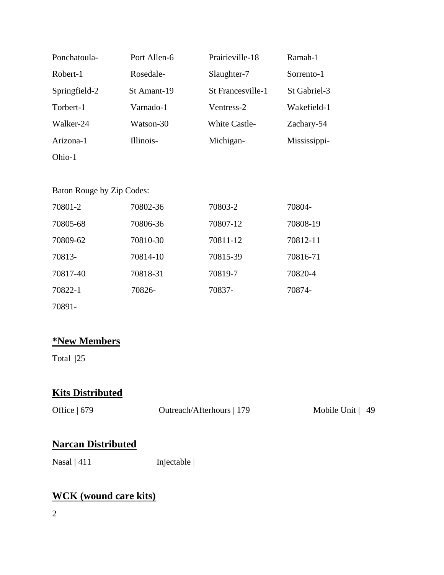| Ponchatoula-  | Port Allen-6 | Prairieville-18      | Ramah-1      |
|---------------|--------------|----------------------|--------------|
| Robert-1      | Rosedale-    | Slaughter-7          | Sorrento-1   |
| Springfield-2 | St Amant-19  | St Francesville-1    | St Gabriel-3 |
| Torbert-1     | Varnado-1    | Ventress-2           | Wakefield-1  |
| Walker-24     | Watson-30    | <b>White Castle-</b> | Zachary-54   |
| Arizona-1     | Illinois-    | Michigan-            | Mississippi- |
| Ohio-1        |              |                      |              |

Baton Rouge by Zip Codes:

| 70801-2  | 70802-36 | 70803-2  | 70804-   |
|----------|----------|----------|----------|
| 70805-68 | 70806-36 | 70807-12 | 70808-19 |
| 70809-62 | 70810-30 | 70811-12 | 70812-11 |
| 70813-   | 70814-10 | 70815-39 | 70816-71 |
| 70817-40 | 70818-31 | 70819-7  | 70820-4  |
| 70822-1  | 70826-   | 70837-   | 70874-   |
| 70891-   |          |          |          |

### **\*New Members**

Total |25

## **Kits Distributed**

| Office $ 679 $ | Outreach/Afterhours   179 | Mobile Unit $ 49$ |
|----------------|---------------------------|-------------------|
|                |                           |                   |

### **Narcan Distributed**

Nasal | 411 Injectable |

## **WCK (wound care kits)**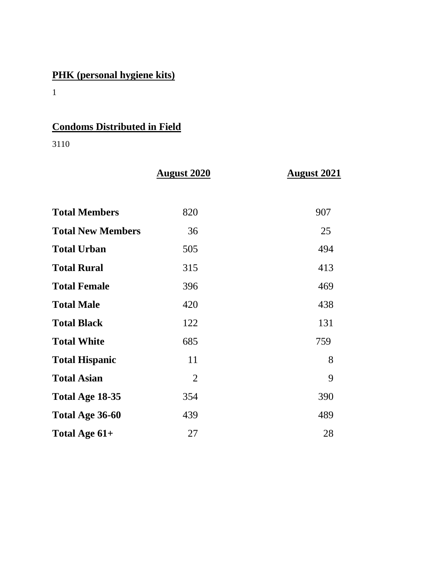# **PHK (personal hygiene kits)**

1

# **Condoms Distributed in Field**

3110

|                          | <b>August 2020</b> | <b>August 2021</b> |
|--------------------------|--------------------|--------------------|
|                          |                    |                    |
| <b>Total Members</b>     | 820                | 907                |
| <b>Total New Members</b> | 36                 | 25                 |
| <b>Total Urban</b>       | 505                | 494                |
| <b>Total Rural</b>       | 315                | 413                |
| <b>Total Female</b>      | 396                | 469                |
| <b>Total Male</b>        | 420                | 438                |
| <b>Total Black</b>       | 122                | 131                |
| <b>Total White</b>       | 685                | 759                |
| <b>Total Hispanic</b>    | 11                 | 8                  |
| <b>Total Asian</b>       | $\overline{2}$     | 9                  |
| Total Age 18-35          | 354                | 390                |
| Total Age 36-60          | 439                | 489                |
| Total Age 61+            | 27                 | 28                 |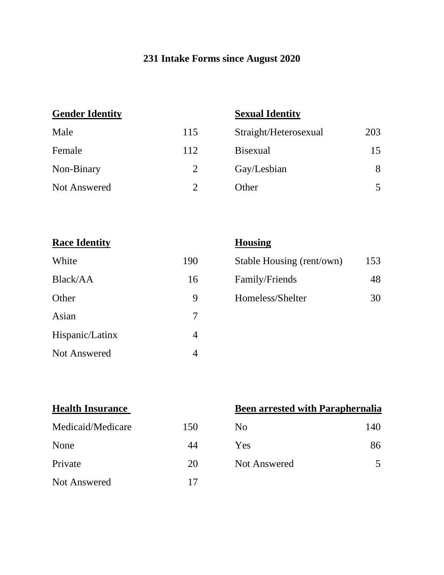## **231 Intake Forms since August 2020**

## **Gender Identity Sexual Identity**

| Male         | 115 | Straight/Heterosexual | 203 |
|--------------|-----|-----------------------|-----|
| Female       | 112 | <b>B</b> isexual      | 15  |
| Non-Binary   | 2   | Gay/Lesbian           | 8   |
| Not Answered |     | Other                 | 5   |

**Race Identity Housing** 

| White               | 190 |
|---------------------|-----|
| Black/AA            | 16  |
| Other               | 9   |
| Asian               |     |
| Hispanic/Latinx     |     |
| <b>Not Answered</b> |     |

| White    | 190 | Stable Housing (rent/own) | 153 |
|----------|-----|---------------------------|-----|
| Black/AA | 16  | Family/Friends            | 48  |
| Other    | Q   | Homeless/Shelter          | 30  |

| <b>Health Insurance</b> |     |  |  |
|-------------------------|-----|--|--|
| Medicaid/Medicare       | 150 |  |  |
| None                    |     |  |  |
| Private                 | 2() |  |  |
| <b>Not Answered</b>     |     |  |  |

### **Been arrested with Paraphernalia**

| Medicaid/Medicare | 150 | N <sub>0</sub> | 140 |
|-------------------|-----|----------------|-----|
|                   |     |                |     |

None 44 Yes 86

Private 20 Not Answered 5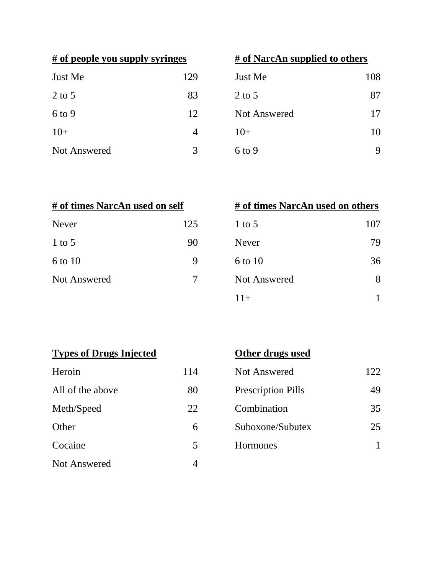|  |  |  | # of people you supply syringes |
|--|--|--|---------------------------------|
|  |  |  |                                 |

| Just Me             | 129 |
|---------------------|-----|
| $2$ to 5            | 83  |
| $6$ to 9            | 12  |
| $10+$               |     |
| <b>Not Answered</b> | 2   |

|  | # of NarcAn supplied to others |  |
|--|--------------------------------|--|
|  |                                |  |

| Just Me             | 129 | Just Me      | 108 |
|---------------------|-----|--------------|-----|
| 2 to 5              | 83  | $2$ to 5     | 87  |
| 6 to 9              | 12  | Not Answered | 17  |
| $10+$               | 4   | $10+$        | 10  |
| <b>Not Answered</b> | 3   | $6$ to 9     | 9   |

| # of times NarcAn used on self |     |  |
|--------------------------------|-----|--|
| <b>Never</b>                   | 125 |  |
| $1$ to 5                       | 90  |  |
| 6 to 10                        |     |  |
| Not Answered                   |     |  |
|                                |     |  |

| # of times NarcAn used on self |     | # of times NarcAn used on others |     |
|--------------------------------|-----|----------------------------------|-----|
| Never                          | 125 | $1$ to 5                         | 107 |
| 1 to $5$                       | 90  | <b>Never</b>                     | 79  |
| 6 to 10                        | 9   | 6 to 10                          | 36  |
| <b>Not Answered</b>            |     | <b>Not Answered</b>              | 8   |
|                                |     | $11+$                            |     |

# **Types of Drugs Injected Other drugs used**

| Heroin              | 114 |
|---------------------|-----|
| All of the above    | 80  |
| Meth/Speed          | 22  |
| Other               | 6   |
| Cocaine             | 5   |
| <b>Not Answered</b> |     |

| Heroin           | 114 | Not Answered              | 122 |
|------------------|-----|---------------------------|-----|
| All of the above | 80  | <b>Prescription Pills</b> | 49  |
| Meth/Speed       | 22  | Combination               | 35  |
| Other            | 6   | Suboxone/Subutex          | 25  |
| Cocaine          | 5   | Hormones                  |     |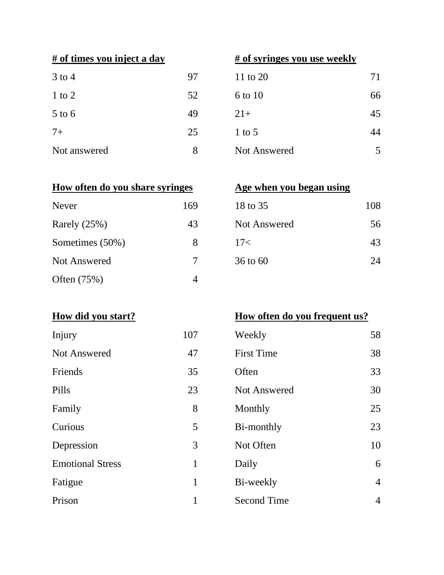| $3$ to $4$   | 97 | 11 to 20     | 71 |
|--------------|----|--------------|----|
| $1$ to $2$   | 52 | 6 to 10      | 66 |
| $5$ to $6$   | 49 | $21+$        | 45 |
| $7+$         | 25 | $1$ to 5     | 44 |
| Not answered | 8  | Not Answered | 5  |

## **# of times you inject a day # of syringes you use weekly**

| 3 to 4       | 97 | 11 to 20     | 71 |
|--------------|----|--------------|----|
| $1$ to $2$   | 52 | 6 to 10      | 66 |
| $5$ to $6$   | 49 | $21+$        | 45 |
| $7+$         | 25 | $1$ to 5     | 44 |
| Not answered | 8  | Not Answered | 5  |

### **How often do you share syringes Age when you began using**

| <b>Never</b>    | 169 | 18 to 35     | 108 |
|-----------------|-----|--------------|-----|
| Rarely $(25%)$  | 43  | Not Answered | 56  |
| Sometimes (50%) | 8   | 17<          | 43  |
| Not Answered    | 7   | 36 to 60     | 24  |
| Often (75%)     | 4   |              |     |

| 18 to 35            | 108    |
|---------------------|--------|
| <b>Not Answered</b> | 56     |
| 17<                 | 43     |
| 36 to 60            | $2\pi$ |

| Injury                  | 107 |
|-------------------------|-----|
| <b>Not Answered</b>     | 47  |
| Friends                 | 35  |
| Pills                   | 23  |
| Family                  | 8   |
| Curious                 | 5   |
| Depression              | 3   |
| <b>Emotional Stress</b> | 1   |
| Fatigue                 | 1   |
| $\mathbf{n}$ .          | 1   |

## **How did you start? How often do you frequent us?**

| Injury                  | 107          | Weekly              | 58             |
|-------------------------|--------------|---------------------|----------------|
| <b>Not Answered</b>     | 47           | <b>First Time</b>   | 38             |
| Friends                 | 35           | Often               | 33             |
| Pills                   | 23           | <b>Not Answered</b> | 30             |
| Family                  | 8            | Monthly             | 25             |
| Curious                 | 5            | Bi-monthly          | 23             |
| Depression              | 3            | Not Often           | 10             |
| <b>Emotional Stress</b> | 1            | Daily               | 6              |
| Fatigue                 | $\mathbf{1}$ | Bi-weekly           | $\overline{4}$ |
| Prison                  |              | <b>Second Time</b>  | $\overline{4}$ |